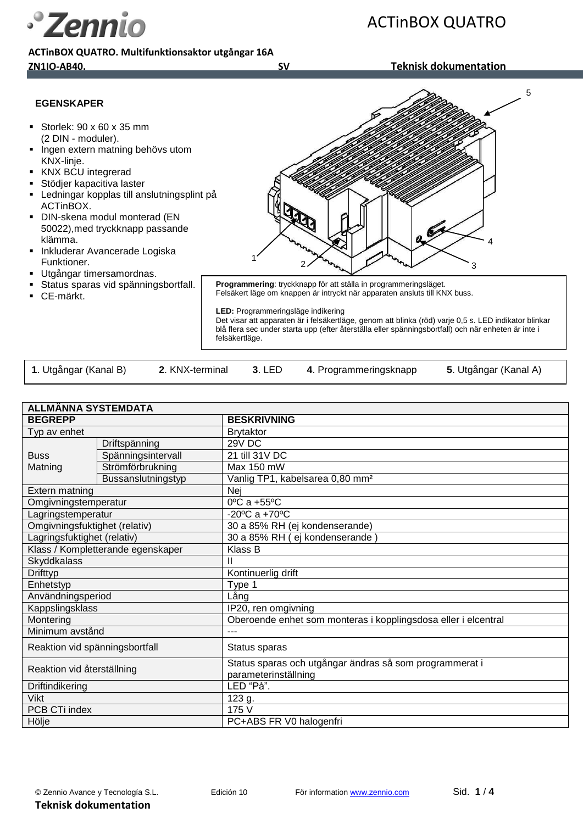**ACTinBOX QUATRO. Multifunktionsaktor utgångar 16A ZN1IO-AB40. SV Teknisk dokumentation**

*S* Zennio

ACTinBOX QUATRO



CE-märkt.

Felsäkert läge om knappen är intryckt när apparaten ansluts till KNX buss.

**LED:** Programmeringsläge indikering

Det visar att apparaten är i felsäkertläge, genom att blinka (röd) varje 0,5 s. LED indikator blinkar blå flera sec under starta upp (efter återställa eller spänningsbortfall) och när enheten är inte i felsäkertläge.

| 1. Utgångar (Kanal B) | 2. KNX-terminal | 3. LED | 4. Programmeringsknapp | 5. Utgångar (Kanal A) |
|-----------------------|-----------------|--------|------------------------|-----------------------|
|                       |                 |        |                        |                       |

| <b>ALLMANNA SYSTEMDATA</b>        |                    |                                                                                 |  |
|-----------------------------------|--------------------|---------------------------------------------------------------------------------|--|
| <b>BEGREPP</b>                    |                    | <b>BESKRIVNING</b>                                                              |  |
| Typ av enhet                      |                    | <b>Brytaktor</b>                                                                |  |
| <b>Buss</b><br>Matning            | Driftspänning      | 29V DC                                                                          |  |
|                                   | Spänningsintervall | 21 till 31V DC                                                                  |  |
|                                   | Strömförbrukning   | Max 150 mW                                                                      |  |
|                                   | Bussanslutningstyp | Vanlig TP1, kabelsarea 0,80 mm <sup>2</sup>                                     |  |
| Extern matning                    |                    | Nej                                                                             |  |
| Omgivningstemperatur              |                    | 0°C a +55°C                                                                     |  |
| Lagringstemperatur                |                    | $-20^{\circ}$ C a $+70^{\circ}$ C                                               |  |
| Omgivningsfuktighet (relativ)     |                    | 30 a 85% RH (ej kondenserande)                                                  |  |
| Lagringsfuktighet (relativ)       |                    | 30 a 85% RH ( ej kondenserande                                                  |  |
| Klass / Kompletterande egenskaper |                    | Klass B                                                                         |  |
| <b>Skyddkalass</b>                |                    | Ш                                                                               |  |
| Drifttyp                          |                    | Kontinuerlig drift                                                              |  |
| Enhetstyp                         |                    | Type 1                                                                          |  |
| Användningsperiod                 |                    | Lång                                                                            |  |
| Kappslingsklass                   |                    | IP20, ren omgivning                                                             |  |
| Montering                         |                    | Oberoende enhet som monteras i kopplingsdosa eller i elcentral                  |  |
| Minimum avstånd                   |                    | ---                                                                             |  |
| Reaktion vid spänningsbortfall    |                    | Status sparas                                                                   |  |
| Reaktion vid återställning        |                    | Status sparas och utgångar ändras så som programmerat i<br>parameterinställning |  |
| Driftindikering                   |                    | LED "På".                                                                       |  |
| <b>Vikt</b>                       |                    | 123 g.                                                                          |  |
| PCB CTi index                     |                    | 175 V                                                                           |  |
| Hölje                             |                    | PC+ABS FR V0 halogenfri                                                         |  |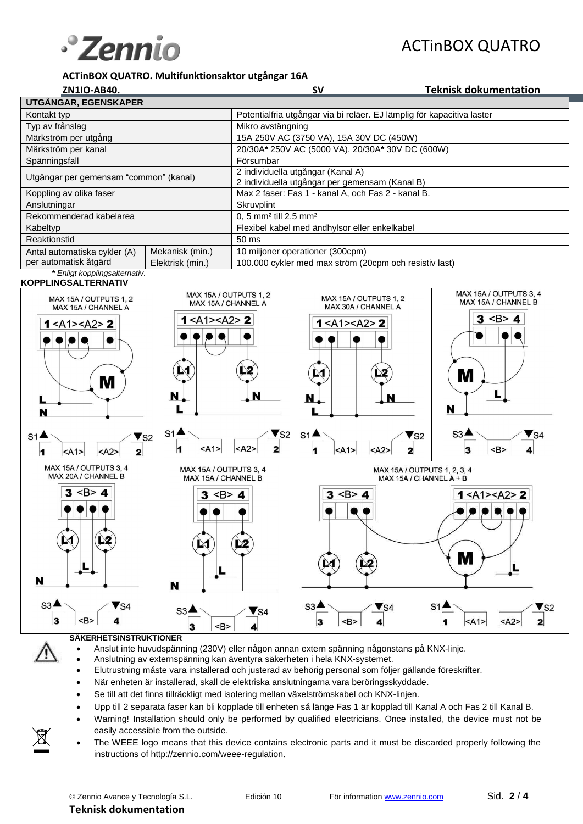

# ACTinBOX QUATRO

#### **ACTinBOX QUATRO. Multifunktionsaktor utgångar 16A**

| ZN1IO-AB40.                            |                  | <b>SV</b>                                                              | <b>Teknisk dokumentation</b> |  |
|----------------------------------------|------------------|------------------------------------------------------------------------|------------------------------|--|
| UTGÅNGAR, EGENSKAPER                   |                  |                                                                        |                              |  |
| Kontakt typ                            |                  | Potentialfria utgångar via bi reläer. EJ lämplig för kapacitiva laster |                              |  |
| Typ av frånslag                        |                  | Mikro avstängning                                                      |                              |  |
| Märkström per utgång                   |                  | 15A 250V AC (3750 VA), 15A 30V DC (450W)                               |                              |  |
| Märkström per kanal                    |                  | 20/30A* 250V AC (5000 VA), 20/30A* 30V DC (600W)                       |                              |  |
| Spänningsfall                          |                  | Försumbar                                                              |                              |  |
| Utgångar per gemensam "common" (kanal) |                  | 2 individuella utgångar (Kanal A)                                      |                              |  |
|                                        |                  | 2 individuella utgångar per gemensam (Kanal B)                         |                              |  |
| Koppling av olika faser                |                  | Max 2 faser: Fas 1 - kanal A, och Fas 2 - kanal B.                     |                              |  |
| Anslutningar                           |                  | Skruvplint                                                             |                              |  |
| Rekommenderad kabelarea                |                  | 0, 5 mm <sup>2</sup> till 2,5 mm <sup>2</sup>                          |                              |  |
| Kabeltyp                               |                  | Flexibel kabel med ändhylsor eller enkelkabel                          |                              |  |
| Reaktionstid                           |                  | 50 ms                                                                  |                              |  |
| Antal automatiska cykler (A)           | Mekanisk (min.)  | 10 miljoner operationer (300cpm)                                       |                              |  |
| per automatisk åtgärd                  | Elektrisk (min.) | 100.000 cykler med max ström (20cpm och resistiv last)                 |                              |  |
| * Enligt kopplingsalternativ.          |                  |                                                                        |                              |  |

#### **KOPPLINGSALTERNATIV**



#### **SÄKERHETSINSTRUKTIONER**

- Anslut inte huvudspänning (230V) eller någon annan extern spänning någonstans på KNX-linje.
- Anslutning av externspänning kan äventyra säkerheten i hela KNX-systemet.
- Elutrustning måste vara installerad och justerad av behörig personal som följer gällande föreskrifter.
- När enheten är installerad, skall de elektriska anslutningarna vara beröringsskyddade.
- Se till att det finns tillräckligt med isolering mellan växelströmskabel och KNX-linjen.
- Upp till 2 separata faser kan bli kopplade till enheten så länge Fas 1 är kopplad till Kanal A och Fas 2 till Kanal B.
- Warning! Installation should only be performed by qualified electricians. Once installed, the device must not be easily accessible from the outside.
- The WEEE logo means that this device contains electronic parts and it must be discarded properly following the instructions of<http://zennio.com/weee-regulation>.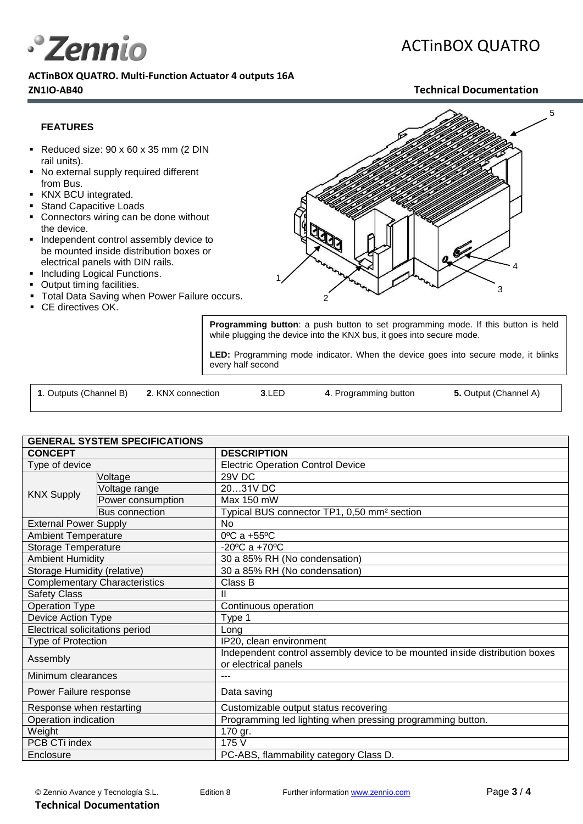

**ACTinBOX QUATRO. Multi-Function Actuator 4 outputs 16A ZN1IO-AB40 Technical Documentation**

# ACTinBOX QUATRO

#### **FEATURES**

- Reduced size:  $90 \times 60 \times 35$  mm (2 DIN rail units).
- No external supply required different from Bus.
- KNX BCU integrated.
- **Stand Capacitive Loads**
- Connectors wiring can be done without the device.
- **Independent control assembly device to** be mounted inside distribution boxes or electrical panels with DIN rails.
- Including Logical Functions.
- Output timing facilities.
- **Total Data Saving when Power Failure occurs.**
- **CE** directives OK.



**Programming button**: a push button to set programming mode. If this button is held while plugging the device into the KNX bus, it goes into secure mode.

**LED:** Programming mode indicator. When the device goes into secure mode, it blinks every half second

| 1. Outputs (Channel B) | 2. KNX connection | 3.LED | 4. Programming button | 5. Output (Channel A) |
|------------------------|-------------------|-------|-----------------------|-----------------------|
|                        |                   |       |                       |                       |

| <b>GENERAL SYSTEM SPECIFICATIONS</b>   |                       |                                                                                                     |  |
|----------------------------------------|-----------------------|-----------------------------------------------------------------------------------------------------|--|
| <b>CONCEPT</b>                         |                       | <b>DESCRIPTION</b>                                                                                  |  |
| Type of device                         |                       | <b>Electric Operation Control Device</b>                                                            |  |
| <b>KNX Supply</b>                      | Voltage               | <b>29V DC</b>                                                                                       |  |
|                                        | Voltage range         | 2031V DC                                                                                            |  |
|                                        | Power consumption     | Max 150 mW                                                                                          |  |
|                                        | <b>Bus connection</b> | Typical BUS connector TP1, 0,50 mm <sup>2</sup> section                                             |  |
| <b>External Power Supply</b>           |                       | <b>No</b>                                                                                           |  |
| <b>Ambient Temperature</b>             |                       | 0°C a +55°C                                                                                         |  |
| Storage Temperature                    |                       | $-20^{\circ}$ C a +70 $^{\circ}$ C                                                                  |  |
| <b>Ambient Humidity</b>                |                       | 30 a 85% RH (No condensation)                                                                       |  |
| Storage Humidity (relative)            |                       | 30 a 85% RH (No condensation)                                                                       |  |
| <b>Complementary Characteristics</b>   |                       | Class B                                                                                             |  |
| <b>Safety Class</b>                    |                       |                                                                                                     |  |
| <b>Operation Type</b>                  |                       | Continuous operation                                                                                |  |
| Device Action Type                     |                       | Type 1                                                                                              |  |
| <b>Electrical solicitations period</b> |                       | Long                                                                                                |  |
| Type of Protection                     |                       | IP20, clean environment                                                                             |  |
| Assembly                               |                       | Independent control assembly device to be mounted inside distribution boxes<br>or electrical panels |  |
| Minimum clearances                     |                       |                                                                                                     |  |
| Power Failure response                 |                       | Data saving                                                                                         |  |
| Response when restarting               |                       | Customizable output status recovering                                                               |  |
| Operation indication                   |                       | Programming led lighting when pressing programming button.                                          |  |
| Weight                                 |                       | 170 gr.                                                                                             |  |
| PCB CTi index                          |                       | 175 V                                                                                               |  |
| Enclosure                              |                       | PC-ABS, flammability category Class D.                                                              |  |